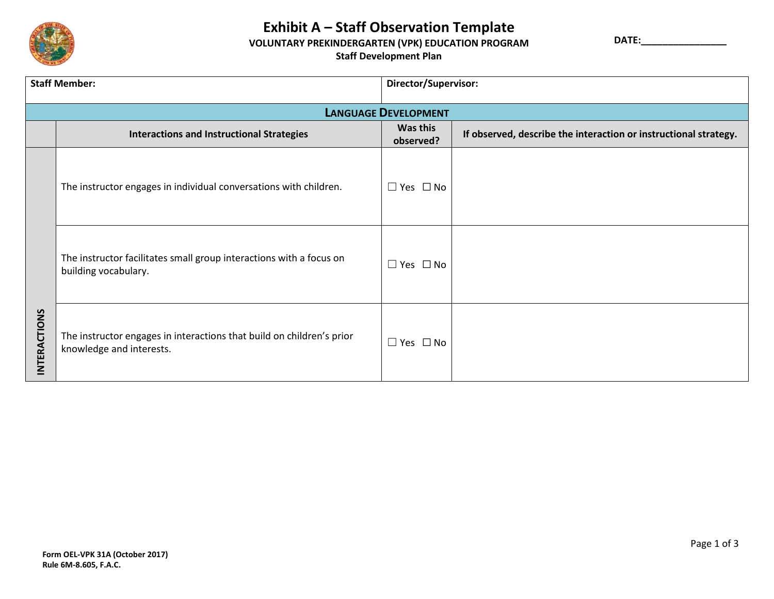

## **Exhibit A – Staff Observation Template**

## **VOLUNTARY PREKINDERGARTEN (VPK) EDUCATION PROGRAM**

**DATE:\_\_\_\_\_\_\_\_\_\_\_\_\_\_\_\_**

**Staff Development Plan**

| <b>Staff Member:</b>        |                                                                                                   | Director/Supervisor:  |                                                                  |  |  |
|-----------------------------|---------------------------------------------------------------------------------------------------|-----------------------|------------------------------------------------------------------|--|--|
| <b>LANGUAGE DEVELOPMENT</b> |                                                                                                   |                       |                                                                  |  |  |
|                             | <b>Interactions and Instructional Strategies</b>                                                  | Was this<br>observed? | If observed, describe the interaction or instructional strategy. |  |  |
| INTERACTIONS                | The instructor engages in individual conversations with children.                                 | $\Box$ Yes $\Box$ No  |                                                                  |  |  |
|                             | The instructor facilitates small group interactions with a focus on<br>building vocabulary.       | $\Box$ Yes $\Box$ No  |                                                                  |  |  |
|                             | The instructor engages in interactions that build on children's prior<br>knowledge and interests. | $\Box$ Yes $\Box$ No  |                                                                  |  |  |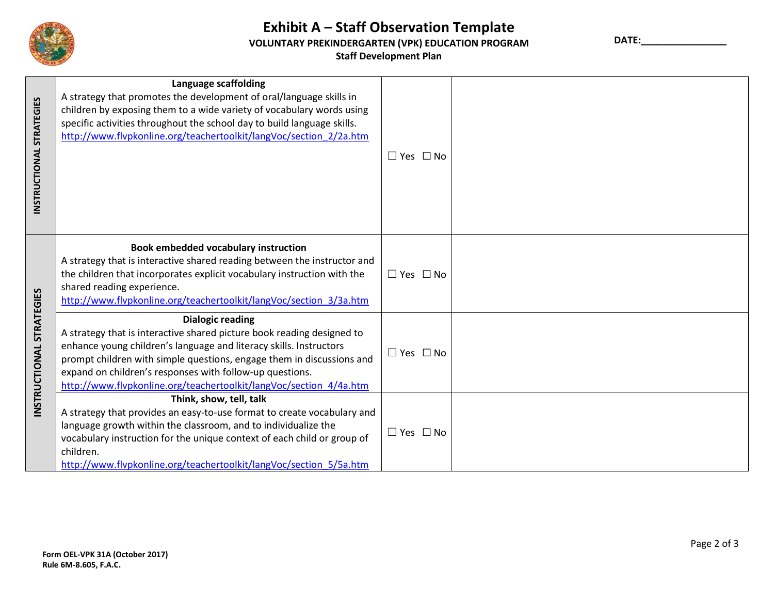

## **Exhibit A – Staff Observation Template VOLUNTARY PREKINDERGARTEN (VPK) EDUCATION PROGRAM Staff Development Plan**

**DATE:\_\_\_\_\_\_\_\_\_\_\_\_\_\_\_\_**

| INSTRUCTIONAL STRATEGIES           | <b>Language scaffolding</b><br>A strategy that promotes the development of oral/language skills in<br>children by exposing them to a wide variety of vocabulary words using<br>specific activities throughout the school day to build language skills.<br>http://www.flvpkonline.org/teachertoolkit/langVoc/section 2/2a.htm                                                       | $\Box$ Yes $\Box$ No |  |
|------------------------------------|------------------------------------------------------------------------------------------------------------------------------------------------------------------------------------------------------------------------------------------------------------------------------------------------------------------------------------------------------------------------------------|----------------------|--|
|                                    | <b>Book embedded vocabulary instruction</b><br>A strategy that is interactive shared reading between the instructor and<br>the children that incorporates explicit vocabulary instruction with the<br>shared reading experience.<br>http://www.flvpkonline.org/teachertoolkit/langVoc/section 3/3a.htm                                                                             | $\Box$ Yes $\Box$ No |  |
| <b>STRATEGIES</b><br>INSTRUCTIONAL | <b>Dialogic reading</b><br>A strategy that is interactive shared picture book reading designed to<br>enhance young children's language and literacy skills. Instructors<br>prompt children with simple questions, engage them in discussions and<br>expand on children's responses with follow-up questions.<br>http://www.flvpkonline.org/teachertoolkit/langVoc/section_4/4a.htm | $\Box$ Yes $\Box$ No |  |
|                                    | Think, show, tell, talk<br>A strategy that provides an easy-to-use format to create vocabulary and<br>language growth within the classroom, and to individualize the<br>vocabulary instruction for the unique context of each child or group of<br>children.<br>http://www.flvpkonline.org/teachertoolkit/langVoc/section 5/5a.htm                                                 | $\Box$ Yes $\Box$ No |  |